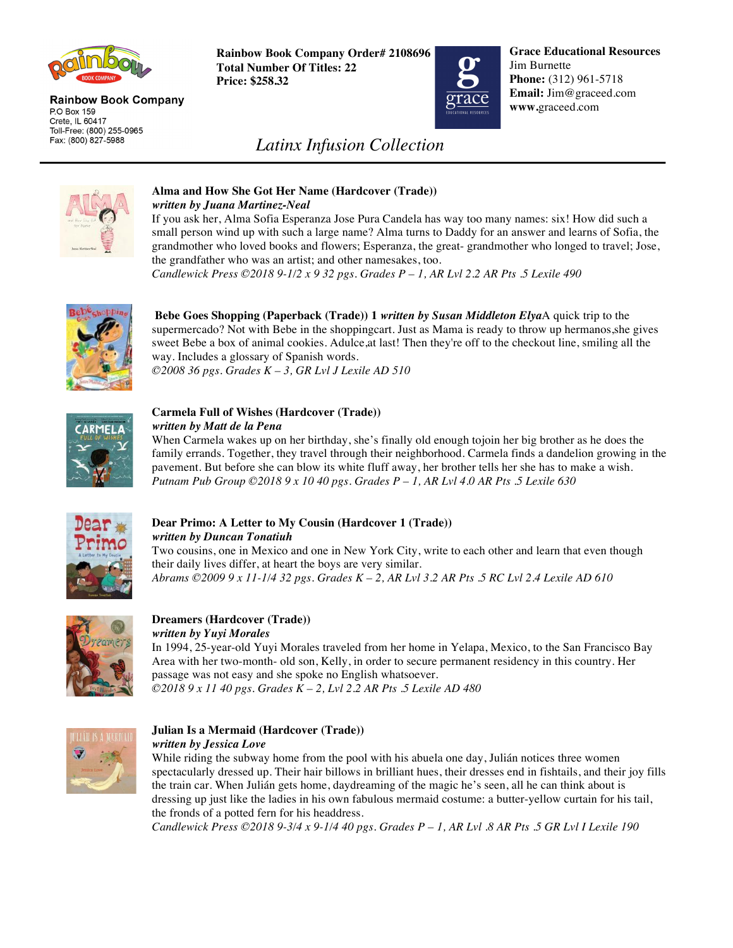

#### **Rainbow Book Company** P.O Box 159 Crete, IL 60417 Toll-Free: (800) 255-0965 Fax: (800) 827-5988

**Rainbow Book Company Order# 2108696 Total Number Of Titles: 22 Price: \$258.32**



**Grace Educational Resources** Jim Burnette **Phone:** (312) 961-5718 **Email:** Jim@graceed.com **www.**graceed.com

# *Latinx Infusion Collection*



### **Alma and How She Got Her Name (Hardcover (Trade))**  *written by Juana Martinez-Neal*

If you ask her, Alma Sofia Esperanza Jose Pura Candela has way too many names: six! How did such a small person wind up with such a large name? Alma turns to Daddy for an answer and learns of Sofia, the grandmother who loved books and flowers; Esperanza, the great- grandmother who longed to travel; Jose, the grandfather who was an artist; and other namesakes, too.

*Candlewick Press ©2018 9-1/2 x 9 32 pgs. Grades P – 1, AR Lvl 2.2 AR Pts .5 Lexile 490* 



**Bebe Goes Shopping (Paperback (Trade)) 1** *written by Susan Middleton Elya*A quick trip to the supermercado? Not with Bebe in the shoppingcart. Just as Mama is ready to throw up hermanos, she gives sweet Bebe a box of animal cookies. Adulce,at last! Then they're off to the checkout line, smiling all the way. Includes a glossary of Spanish words. *©2008 36 pgs. Grades K – 3, GR Lvl J Lexile AD 510*



#### **Carmela Full of Wishes (Hardcover (Trade))**  *written by Matt de la Pena*

When Carmela wakes up on her birthday, she's finally old enough tojoin her big brother as he does the family errands. Together, they travel through their neighborhood. Carmela finds a dandelion growing in the pavement. But before she can blow its white fluff away, her brother tells her she has to make a wish. *Putnam Pub Group ©2018 9 x 10 40 pgs. Grades P – 1, AR Lvl 4.0 AR Pts .5 Lexile 630* 



## **Dear Primo: A Letter to My Cousin (Hardcover 1 (Trade))** *written by Duncan Tonatiuh*

Two cousins, one in Mexico and one in New York City, write to each other and learn that even though their daily lives differ, at heart the boys are very similar. *Abrams ©2009 9 x 11-1/4 32 pgs. Grades K – 2, AR Lvl 3.2 AR Pts .5 RC Lvl 2.4 Lexile AD 610* 



#### **Dreamers (Hardcover (Trade))**  *written by Yuyi Morales*

In 1994, 25-year-old Yuyi Morales traveled from her home in Yelapa, Mexico, to the San Francisco Bay Area with her two-month- old son, Kelly, in order to secure permanent residency in this country. Her passage was not easy and she spoke no English whatsoever. *©2018 9 x 11 40 pgs. Grades K – 2, Lvl 2.2 AR Pts .5 Lexile AD 480* 



#### **Julian Is a Mermaid (Hardcover (Trade))**  *written by Jessica Love*

While riding the subway home from the pool with his abuela one day, Julián notices three women spectacularly dressed up. Their hair billows in brilliant hues, their dresses end in fishtails, and their joy fills the train car. When Julián gets home, daydreaming of the magic he's seen, all he can think about is dressing up just like the ladies in his own fabulous mermaid costume: a butter-yellow curtain for his tail, the fronds of a potted fern for his headdress.

*Candlewick Press ©2018 9-3/4 x 9-1/4 40 pgs. Grades P – 1, AR Lvl .8 AR Pts .5 GR Lvl I Lexile 190*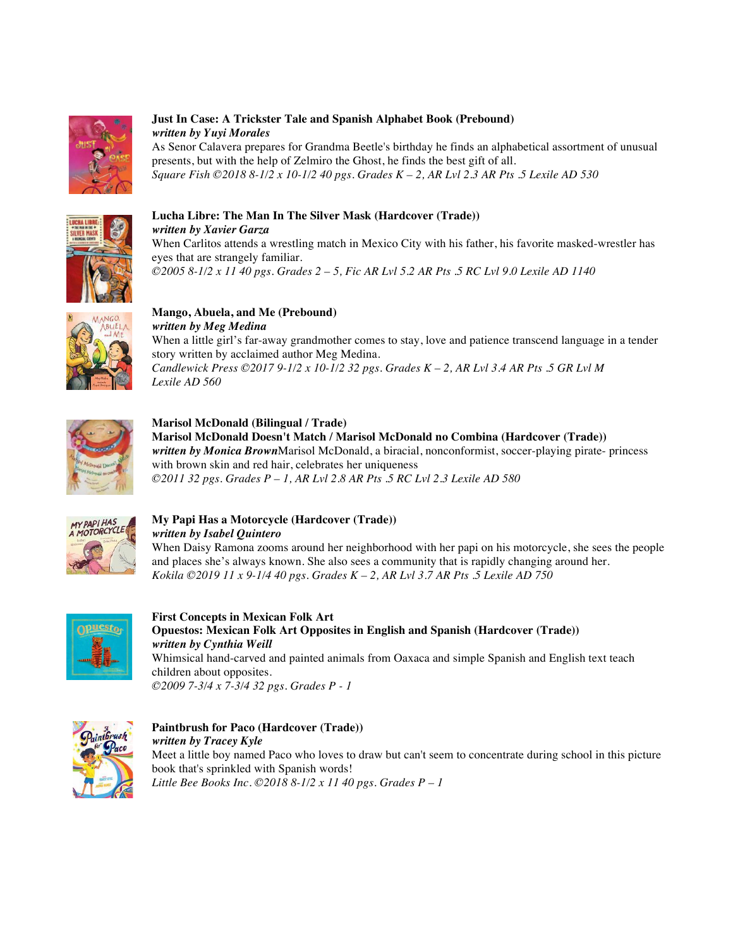

### **Just In Case: A Trickster Tale and Spanish Alphabet Book (Prebound)** *written by Yuyi Morales*

As Senor Calavera prepares for Grandma Beetle's birthday he finds an alphabetical assortment of unusual presents, but with the help of Zelmiro the Ghost, he finds the best gift of all. *Square Fish ©2018 8-1/2 x 10-1/2 40 pgs. Grades K – 2, AR Lvl 2.3 AR Pts .5 Lexile AD 530* 



#### **Lucha Libre: The Man In The Silver Mask (Hardcover (Trade))** *written by Xavier Garza* When Carlitos attends a wrestling match in Mexico City with his father, his favorite masked-wrestler has eyes that are strangely familiar. *©2005 8-1/2 x 11 40 pgs. Grades 2 – 5, Fic AR Lvl 5.2 AR Pts .5 RC Lvl 9.0 Lexile AD 1140*



**Mango, Abuela, and Me (Prebound)**  *written by Meg Medina*  When a little girl's far-away grandmother comes to stay, love and patience transcend language in a tender story written by acclaimed author Meg Medina. *Candlewick Press ©2017 9-1/2 x 10-1/2 32 pgs. Grades K – 2, AR Lvl 3.4 AR Pts .5 GR Lvl M Lexile AD 560* 



**Marisol McDonald (Bilingual / Trade) Marisol McDonald Doesn't Match / Marisol McDonald no Combina (Hardcover (Trade))** *written by Monica Brown*Marisol McDonald, a biracial, nonconformist, soccer-playing pirate- princess with brown skin and red hair, celebrates her uniqueness *©2011 32 pgs. Grades P – 1, AR Lvl 2.8 AR Pts .5 RC Lvl 2.3 Lexile AD 580* 



# **My Papi Has a Motorcycle (Hardcover (Trade))**  *written by Isabel Quintero*

When Daisy Ramona zooms around her neighborhood with her papi on his motorcycle, she sees the people and places she's always known. She also sees a community that is rapidly changing around her. *Kokila ©2019 11 x 9-1/4 40 pgs. Grades K – 2, AR Lvl 3.7 AR Pts .5 Lexile AD 750* 



**First Concepts in Mexican Folk Art Opuestos: Mexican Folk Art Opposites in English and Spanish (Hardcover (Trade))** *written by Cynthia Weill* Whimsical hand-carved and painted animals from Oaxaca and simple Spanish and English text teach children about opposites.

*©2009 7-3/4 x 7-3/4 32 pgs. Grades P - 1*



# **Paintbrush for Paco (Hardcover (Trade))**  *written by Tracey Kyle*

Meet a little boy named Paco who loves to draw but can't seem to concentrate during school in this picture book that's sprinkled with Spanish words! *Little Bee Books Inc. ©2018 8-1/2 x 11 40 pgs. Grades P – 1*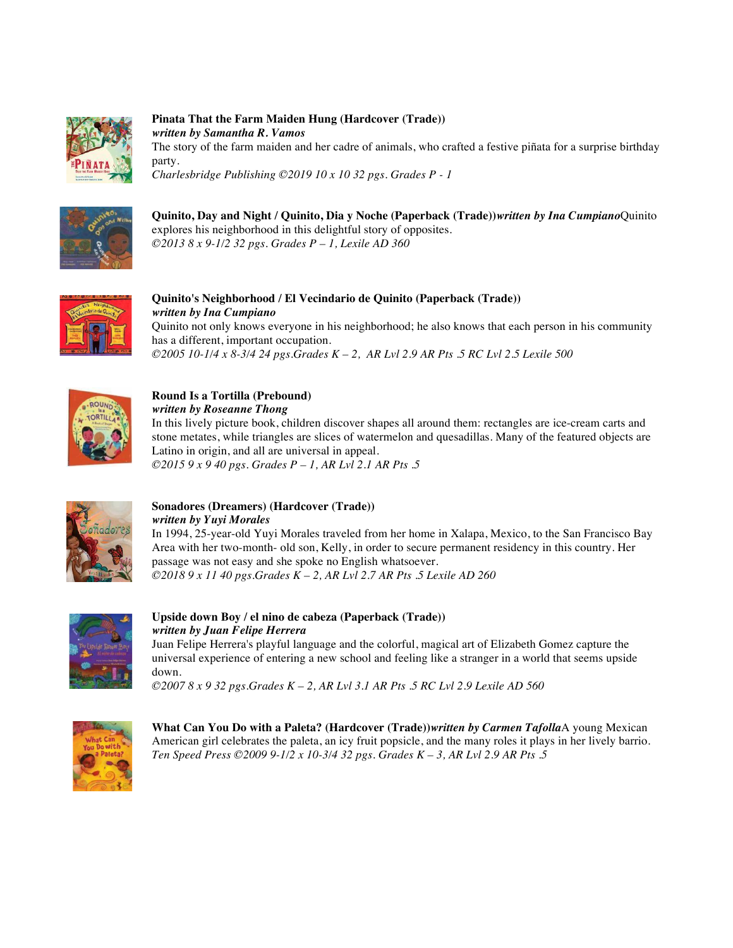

**Pinata That the Farm Maiden Hung (Hardcover (Trade))**  *written by Samantha R. Vamos*  The story of the farm maiden and her cadre of animals, who crafted a festive piñata for a surprise birthday party. *Charlesbridge Publishing ©2019 10 x 10 32 pgs. Grades P - 1* 



**Quinito, Day and Night / Quinito, Dia y Noche (Paperback (Trade))***written by Ina Cumpiano*Quinito explores his neighborhood in this delightful story of opposites. *©2013 8 x 9-1/2 32 pgs. Grades P – 1, Lexile AD 360* 



**Quinito's Neighborhood / El Vecindario de Quinito (Paperback (Trade))** *written by Ina Cumpiano* Quinito not only knows everyone in his neighborhood; he also knows that each person in his community has a different, important occupation. *©2005 10-1/4 x 8-3/4 24 pgs.Grades K – 2, AR Lvl 2.9 AR Pts .5 RC Lvl 2.5 Lexile 500* 



**Round Is a Tortilla (Prebound)** 

*written by Roseanne Thong* 

In this lively picture book, children discover shapes all around them: rectangles are ice-cream carts and stone metates, while triangles are slices of watermelon and quesadillas. Many of the featured objects are Latino in origin, and all are universal in appeal.

*©2015 9 x 9 40 pgs. Grades P – 1, AR Lvl 2.1 AR Pts .5* 



**Sonadores (Dreamers) (Hardcover (Trade))**  *written by Yuyi Morales* 

In 1994, 25-year-old Yuyi Morales traveled from her home in Xalapa, Mexico, to the San Francisco Bay Area with her two-month- old son, Kelly, in order to secure permanent residency in this country. Her passage was not easy and she spoke no English whatsoever. *©2018 9 x 11 40 pgs.Grades K – 2, AR Lvl 2.7 AR Pts .5 Lexile AD 260* 



**Upside down Boy / el nino de cabeza (Paperback (Trade))** *written by Juan Felipe Herrera*  Juan Felipe Herrera's playful language and the colorful, magical art of Elizabeth Gomez capture the universal experience of entering a new school and feeling like a stranger in a world that seems upside

down. *©2007 8 x 9 32 pgs.Grades K – 2, AR Lvl 3.1 AR Pts .5 RC Lvl 2.9 Lexile AD 560* 



**What Can You Do with a Paleta? (Hardcover (Trade))***written by Carmen Tafolla*A young Mexican American girl celebrates the paleta, an icy fruit popsicle, and the many roles it plays in her lively barrio. *Ten Speed Press ©2009 9-1/2 x 10-3/4 32 pgs. Grades K – 3, AR Lvl 2.9 AR Pts .5*